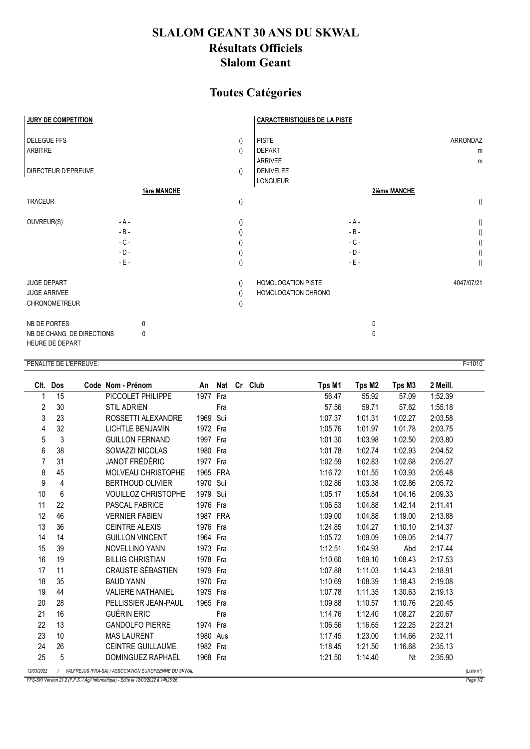## **SLALOM GEANT 30 ANS DU SKWAL Résultats Officiels Slalom Geant**

## **Toutes Catégories**

| JURY DE COMPETITION                                               |             |                                                          | <b>CARACTERISTIQUES DE LA PISTE</b>             |                    |
|-------------------------------------------------------------------|-------------|----------------------------------------------------------|-------------------------------------------------|--------------------|
| <b>DELEGUE FFS</b><br><b>ARBITRE</b>                              |             | $\left( \right)$<br>$\left( \right)$                     | <b>PISTE</b><br><b>DEPART</b><br><b>ARRIVEE</b> | ARRONDAZ<br>m<br>m |
| <b>DIRECTEUR D'EPREUVE</b>                                        |             | $\left( \right)$                                         | <b>DENIVELEE</b><br><b>LONGUEUR</b>             |                    |
|                                                                   | 1ère MANCHE |                                                          |                                                 | 2ième MANCHE       |
| <b>TRACEUR</b>                                                    |             | $\left(\right)$                                          |                                                 | $\left( \right)$   |
| OUVREUR(S)                                                        | $- A -$     | $\left( \right)$                                         | $-A -$                                          | $\left( \right)$   |
|                                                                   | $-B -$      |                                                          | $-B -$                                          | $\left( \right)$   |
|                                                                   | $-C -$      | $\left( \right)$                                         | $-C -$                                          | ()                 |
|                                                                   | $-D -$      | $\left( \right)$                                         | $-D -$                                          | $\left(\right)$    |
|                                                                   | $-E -$      | $\left( \right)$                                         | $-E -$                                          | $\left( \right)$   |
| <b>JUGE DEPART</b><br><b>JUGE ARRIVEE</b><br><b>CHRONOMETREUR</b> |             | $\left( \right)$<br>$\left( \right)$<br>$\left( \right)$ | HOMOLOGATION PISTE<br>HOMOLOGATION CHRONO       | 4047/07/21         |
| NB DE PORTES                                                      | 0           |                                                          |                                                 | $\mathbf{0}$       |
| NB DE CHANG. DE DIRECTIONS<br>HEURE DE DEPART                     | 0           |                                                          |                                                 | 0                  |

## PENALITE DE L'EPREUVE:

| Clt.       | Dos                                                                  |  | Code Nom - Prénom          |          |     |  | An Nat Cr Club | Tps M1  | Tps M2  | Tps M3  | 2 Meill. |  |
|------------|----------------------------------------------------------------------|--|----------------------------|----------|-----|--|----------------|---------|---------|---------|----------|--|
| 1          | 15                                                                   |  | PICCOLET PHILIPPE          | 1977 Fra |     |  |                | 56.47   | 55.92   | 57.09   | 1:52.39  |  |
| 2          | 30                                                                   |  | <b>STIL ADRIEN</b>         |          | Fra |  |                | 57.56   | 59.71   | 57.62   | 1:55.18  |  |
| 3          | 23                                                                   |  | ROSSETTI ALEXANDRE         | 1969 Sui |     |  |                | 1:07.37 | 1:01.31 | 1:02.27 | 2:03.58  |  |
| 4          | 32                                                                   |  | <b>LICHTLE BENJAMIN</b>    | 1972 Fra |     |  |                | 1:05.76 | 1:01.97 | 1:01.78 | 2:03.75  |  |
| 5          | 3                                                                    |  | <b>GUILLON FERNAND</b>     | 1997 Fra |     |  |                | 1:01.30 | 1:03.98 | 1:02.50 | 2:03.80  |  |
| 6          | 38                                                                   |  | SOMAZZI NICOLAS            | 1980 Fra |     |  |                | 1:01.78 | 1:02.74 | 1:02.93 | 2:04.52  |  |
| 7          | 31                                                                   |  | JANOT FRÉDÉRIC             | 1977 Fra |     |  |                | 1:02.59 | 1:02.83 | 1:02.68 | 2:05.27  |  |
| 8          | 45                                                                   |  | <b>MOLVEAU CHRISTOPHE</b>  | 1965 FRA |     |  |                | 1:16.72 | 1:01.55 | 1:03.93 | 2:05.48  |  |
| 9          | 4                                                                    |  | <b>BERTHOUD OLIVIER</b>    | 1970 Sui |     |  |                | 1:02.86 | 1:03.38 | 1:02.86 | 2:05.72  |  |
| 10         | 6                                                                    |  | <b>VOUILLOZ CHRISTOPHE</b> | 1979 Sui |     |  |                | 1:05.17 | 1:05.84 | 1:04.16 | 2:09.33  |  |
| 11         | 22                                                                   |  | <b>PASCAL FABRICE</b>      | 1976 Fra |     |  |                | 1:06.53 | 1:04.88 | 1:42.14 | 2:11.41  |  |
| 12         | 46                                                                   |  | <b>VERNIER FABIEN</b>      | 1987 FRA |     |  |                | 1:09.00 | 1:04.88 | 1:19.00 | 2:13.88  |  |
| 13         | 36                                                                   |  | <b>CEINTRE ALEXIS</b>      | 1976 Fra |     |  |                | 1:24.85 | 1:04.27 | 1:10.10 | 2:14.37  |  |
| 14         | 14                                                                   |  | <b>GUILLON VINCENT</b>     | 1964 Fra |     |  |                | 1:05.72 | 1:09.09 | 1:09.05 | 2:14.77  |  |
| 15         | 39                                                                   |  | <b>NOVELLINO YANN</b>      | 1973 Fra |     |  |                | 1:12.51 | 1:04.93 | Abd     | 2:17.44  |  |
| 16         | 19                                                                   |  | <b>BILLIG CHRISTIAN</b>    | 1978 Fra |     |  |                | 1:10.60 | 1:09.10 | 1:08.43 | 2:17.53  |  |
| 17         | 11                                                                   |  | CRAUSTE SÉBASTIEN          | 1979 Fra |     |  |                | 1:07.88 | 1:11.03 | 1:14.43 | 2:18.91  |  |
| 18         | 35                                                                   |  | <b>BAUD YANN</b>           | 1970 Fra |     |  |                | 1:10.69 | 1:08.39 | 1:18.43 | 2:19.08  |  |
| 19         | 44                                                                   |  | <b>VALIERE NATHANIEL</b>   | 1975 Fra |     |  |                | 1:07.78 | 1:11.35 | 1:30.63 | 2:19.13  |  |
| 20         | 28                                                                   |  | PELLISSIER JEAN-PAUL       | 1965 Fra |     |  |                | 1:09.88 | 1:10.57 | 1:10.76 | 2:20.45  |  |
| 21         | 16                                                                   |  | GUÉRIN ERIC                |          | Fra |  |                | 1:14.76 | 1:12.40 | 1:08.27 | 2:20.67  |  |
| 22         | 13                                                                   |  | <b>GANDOLFO PIERRE</b>     | 1974 Fra |     |  |                | 1:06.56 | 1:16.65 | 1:22.25 | 2:23.21  |  |
| 23         | 10                                                                   |  | <b>MAS LAURENT</b>         | 1980 Aus |     |  |                | 1:17.45 | 1:23.00 | 1:14.66 | 2:32.11  |  |
| 24         | 26                                                                   |  | <b>CEINTRE GUILLAUME</b>   | 1982 Fra |     |  |                | 1:18.45 | 1:21.50 | 1:16.68 | 2:35.13  |  |
| 25         | 5                                                                    |  | DOMINGUEZ RAPHAËL          | 1968 Fra |     |  |                | 1:21.50 | 1:14.40 | Nt      | 2:35.90  |  |
| 12/03/2022 | / VALFREJUS (FRA-SA) / ASSOCIATION EUROPEENNE DU SKWAL<br>(Liste n°) |  |                            |          |     |  |                |         |         |         |          |  |

FFS-SKI Version 21.2 (F.F.S. / Agil Informatique) - Edité le 12/03/2022 à 14h25:26

 $\frac{1}{\sqrt{2}}$  Page 1/2

 $F = 1010$